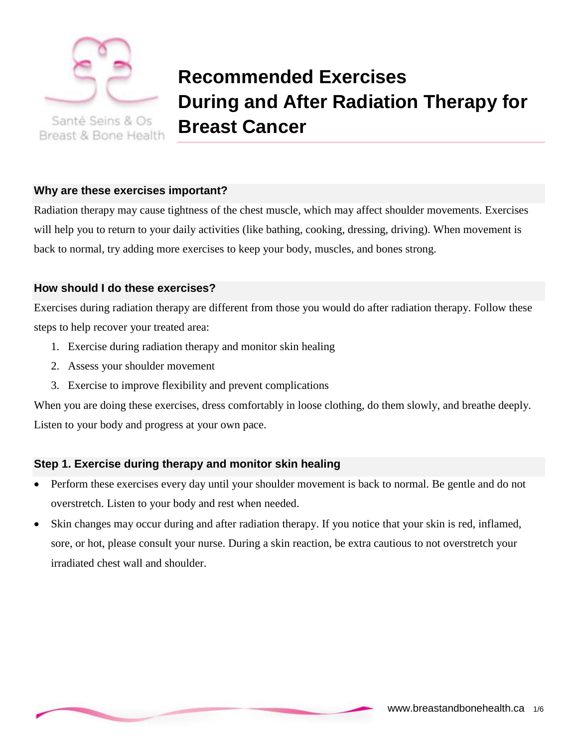

Santé Seins & Os Breast & Bone Health

# **Recommended Exercises During and After Radiation Therapy for Breast Cancer**

# **Why are these exercises important?**

Radiation therapy may cause tightness of the chest muscle, which may affect shoulder movements. Exercises will help you to return to your daily activities (like bathing, cooking, dressing, driving). When movement is back to normal, try adding more exercises to keep your body, muscles, and bones strong.

# **How should I do these exercises?**

Exercises during radiation therapy are different from those you would do after radiation therapy. Follow these steps to help recover your treated area:

- 1. Exercise during radiation therapy and monitor skin healing
- 2. Assess your shoulder movement
- 3. Exercise to improve flexibility and prevent complications

When you are doing these exercises, dress comfortably in loose clothing, do them slowly, and breathe deeply. Listen to your body and progress at your own pace.

# **Step 1. Exercise during therapy and monitor skin healing**

- Perform these exercises every day until your shoulder movement is back to normal. Be gentle and do not overstretch. Listen to your body and rest when needed.
- Skin changes may occur during and after radiation therapy. If you notice that your skin is red, inflamed, sore, or hot, please consult your nurse. During a skin reaction, be extra cautious to not overstretch your irradiated chest wall and shoulder.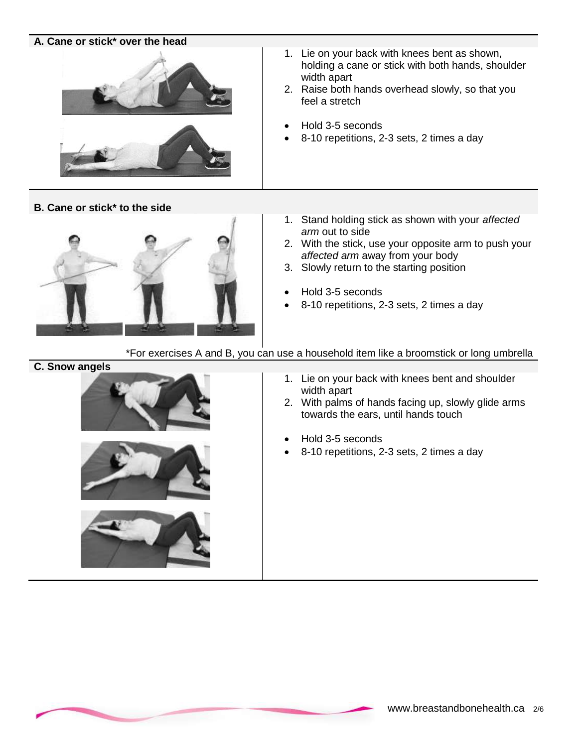### **A. Cane or stick\* over the head**



**B. Cane or stick\* to the side**



- 1. Lie on your back with knees bent as shown, holding a cane or stick with both hands, shoulder width apart
- 2. Raise both hands overhead slowly, so that you feel a stretch
- Hold 3-5 seconds
- 8-10 repetitions, 2-3 sets, 2 times a day
- 1. Stand holding stick as shown with your *affected arm* out to side
- 2. With the stick, use your opposite arm to push your *affected arm* away from your body
- 3. Slowly return to the starting position
- Hold 3-5 seconds
- 8-10 repetitions, 2-3 sets, 2 times a day

\*For exercises A and B, you can use a household item like a broomstick or long umbrella

#### **C. Snow angels**







- 1. Lie on your back with knees bent and shoulder width apart
- 2. With palms of hands facing up, slowly glide arms towards the ears, until hands touch
- Hold 3-5 seconds
- 8-10 repetitions, 2-3 sets, 2 times a day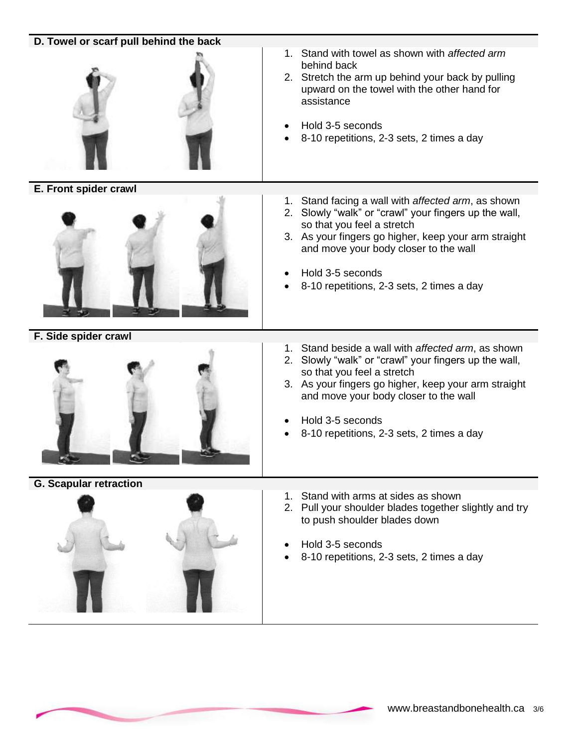| D. Towel or scarf pull behind the back |                                                                                                                                                                                                                                                                                                             |
|----------------------------------------|-------------------------------------------------------------------------------------------------------------------------------------------------------------------------------------------------------------------------------------------------------------------------------------------------------------|
|                                        | 1. Stand with towel as shown with affected arm<br>behind back<br>2. Stretch the arm up behind your back by pulling<br>upward on the towel with the other hand for<br>assistance<br>Hold 3-5 seconds<br>8-10 repetitions, 2-3 sets, 2 times a day                                                            |
| E. Front spider crawl                  | 1. Stand facing a wall with affected arm, as shown<br>2. Slowly "walk" or "crawl" your fingers up the wall,<br>so that you feel a stretch<br>3. As your fingers go higher, keep your arm straight<br>and move your body closer to the wall<br>Hold 3-5 seconds<br>8-10 repetitions, 2-3 sets, 2 times a day |
| F. Side spider crawl                   |                                                                                                                                                                                                                                                                                                             |
|                                        | 1. Stand beside a wall with affected arm, as shown<br>2. Slowly "walk" or "crawl" your fingers up the wall,<br>so that you feel a stretch<br>3. As your fingers go higher, keep your arm straight<br>and move your body closer to the wall<br>Hold 3-5 seconds<br>8-10 repetitions, 2-3 sets, 2 times a day |
| <b>G. Scapular retraction</b>          |                                                                                                                                                                                                                                                                                                             |
|                                        | Stand with arms at sides as shown<br>2. Pull your shoulder blades together slightly and try<br>to push shoulder blades down<br>Hold 3-5 seconds<br>8-10 repetitions, 2-3 sets, 2 times a day                                                                                                                |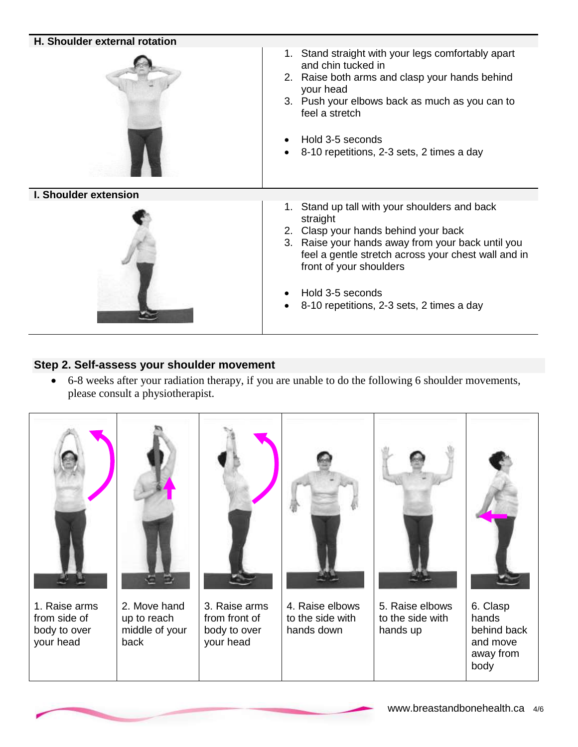

# **Step 2. Self-assess your shoulder movement**

 6-8 weeks after your radiation therapy, if you are unable to do the following 6 shoulder movements, please consult a physiotherapist.

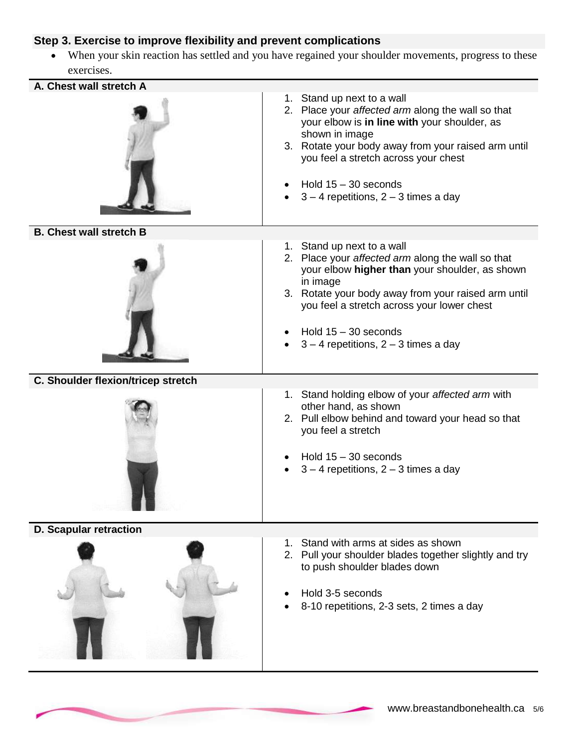# **Step 3. Exercise to improve flexibility and prevent complications**

 When your skin reaction has settled and you have regained your shoulder movements, progress to these exercises.